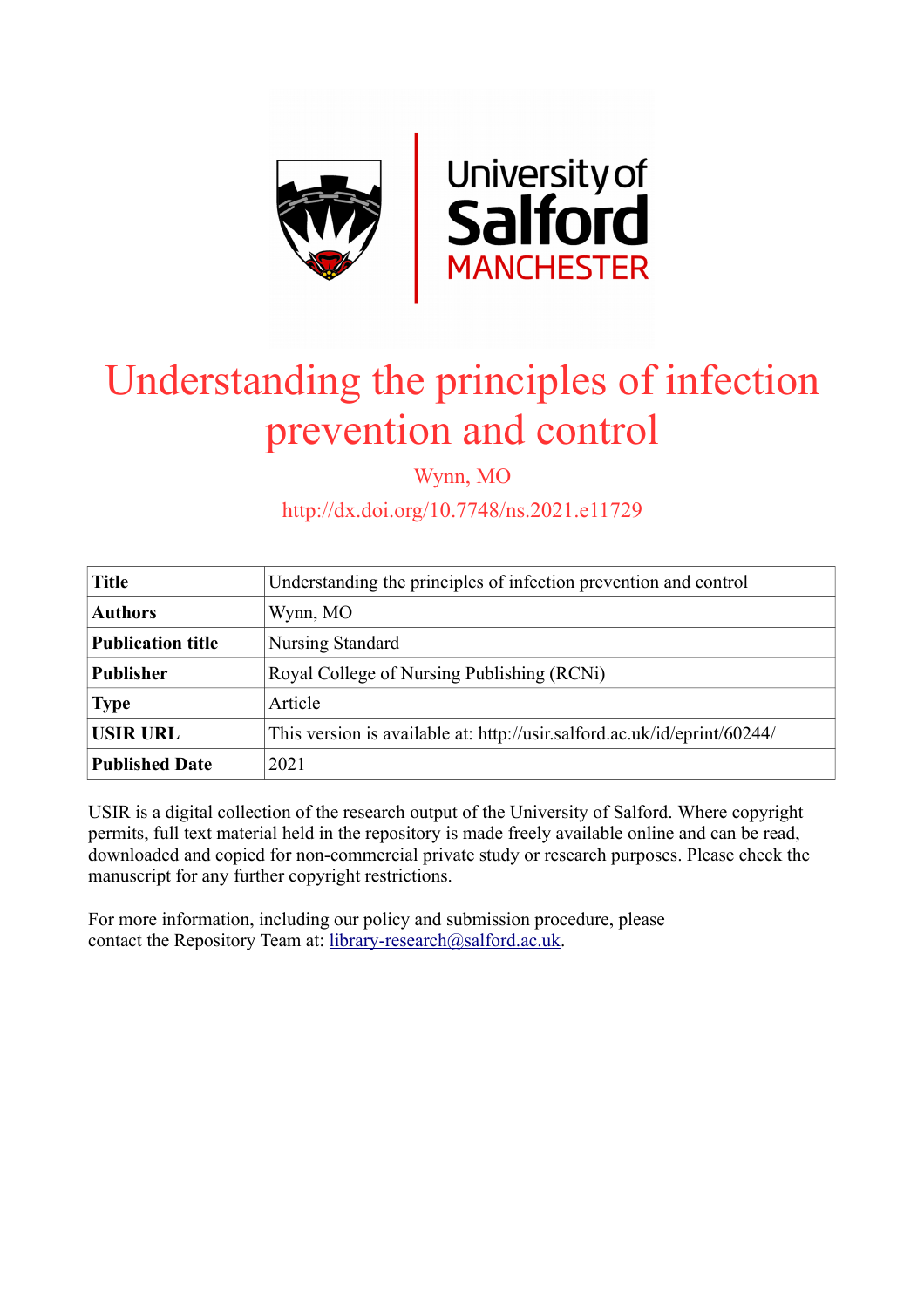

# Understanding the principles of infection prevention and control

Wynn, MO

http://dx.doi.org/10.7748/ns.2021.e11729

| <b>Title</b>             | Understanding the principles of infection prevention and control         |  |
|--------------------------|--------------------------------------------------------------------------|--|
| <b>Authors</b>           | Wynn, MO                                                                 |  |
| <b>Publication title</b> | Nursing Standard                                                         |  |
| <b>Publisher</b>         | Royal College of Nursing Publishing (RCNi)                               |  |
| <b>Type</b>              | Article                                                                  |  |
| <b>USIR URL</b>          | This version is available at: http://usir.salford.ac.uk/id/eprint/60244/ |  |
| <b>Published Date</b>    | 2021                                                                     |  |

USIR is a digital collection of the research output of the University of Salford. Where copyright permits, full text material held in the repository is made freely available online and can be read, downloaded and copied for non-commercial private study or research purposes. Please check the manuscript for any further copyright restrictions.

For more information, including our policy and submission procedure, please contact the Repository Team at: [library-research@salford.ac.uk.](mailto:library-research@salford.ac.uk)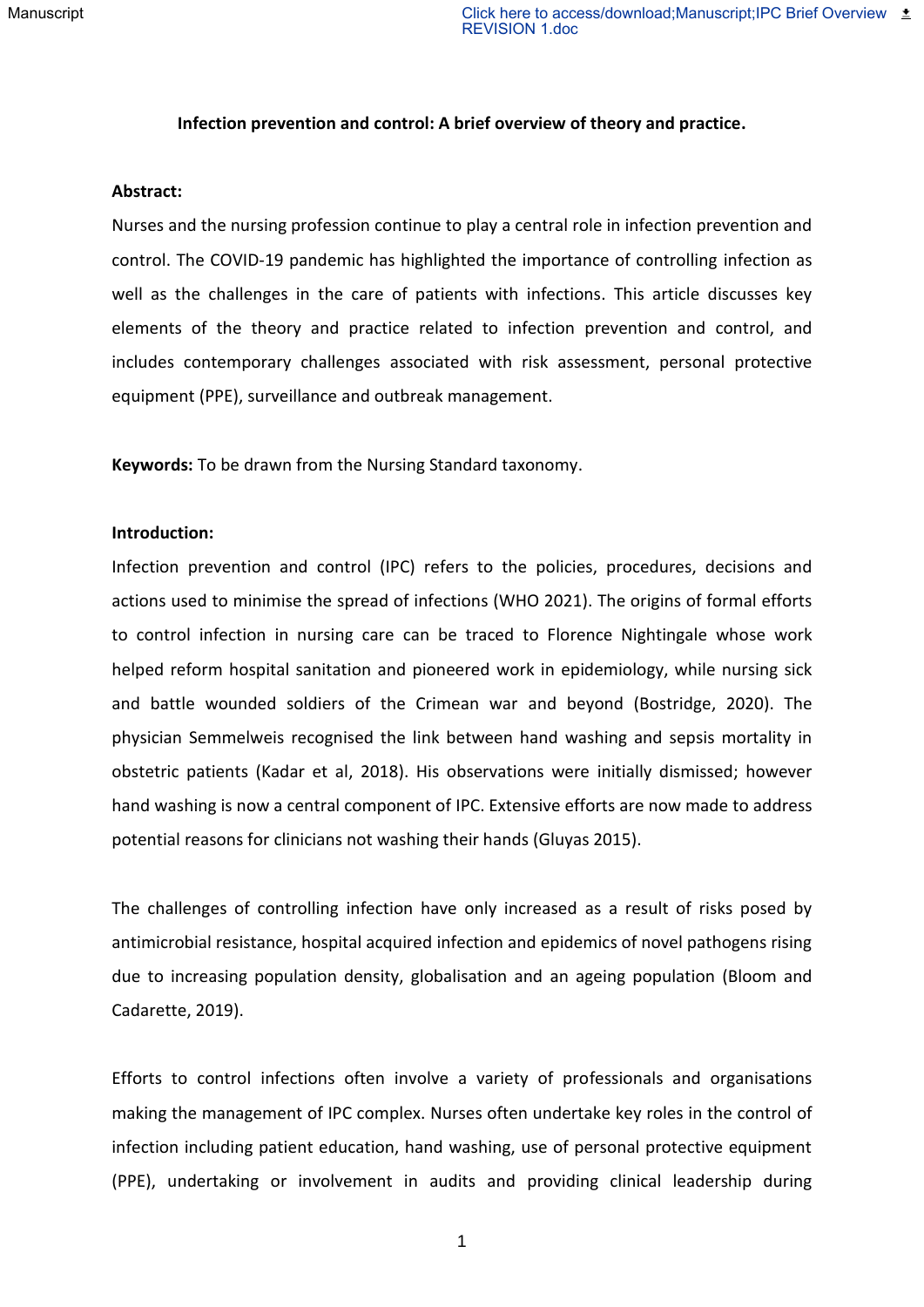#### **Infection prevention and control: A brief overview of theory and practice.**

#### **Abstract:**

Nurses and the nursing profession continue to play a central role in infection prevention and control. The COVID-19 pandemic has highlighted the importance of controlling infection as well as the challenges in the care of patients with infections. This article discusses key elements of the theory and practice related to infection prevention and control, and includes contemporary challenges associated with risk assessment, personal protective equipment (PPE), surveillance and outbreak management.

**Keywords:** To be drawn from the Nursing Standard taxonomy.

# **Introduction:**

Infection prevention and control (IPC) refers to the policies, procedures, decisions and actions used to minimise the spread of infections (WHO 2021). The origins of formal efforts to control infection in nursing care can be traced to Florence Nightingale whose work helped reform hospital sanitation and pioneered work in epidemiology, while nursing sick and battle wounded soldiers of the Crimean war and beyond (Bostridge, 2020). The physician Semmelweis recognised the link between hand washing and sepsis mortality in obstetric patients (Kadar et al, 2018). His observations were initially dismissed; however hand washing is now a central component of IPC. Extensive efforts are now made to address potential reasons for clinicians not washing their hands (Gluyas 2015).

The challenges of controlling infection have only increased as a result of risks posed by antimicrobial resistance, hospital acquired infection and epidemics of novel pathogens rising due to increasing population density, globalisation and an ageing population (Bloom and Cadarette, 2019).

Efforts to control infections often involve a variety of professionals and organisations making the management of IPC complex. Nurses often undertake key roles in the control of infection including patient education, hand washing, use of personal protective equipment (PPE), undertaking or involvement in audits and providing clinical leadership during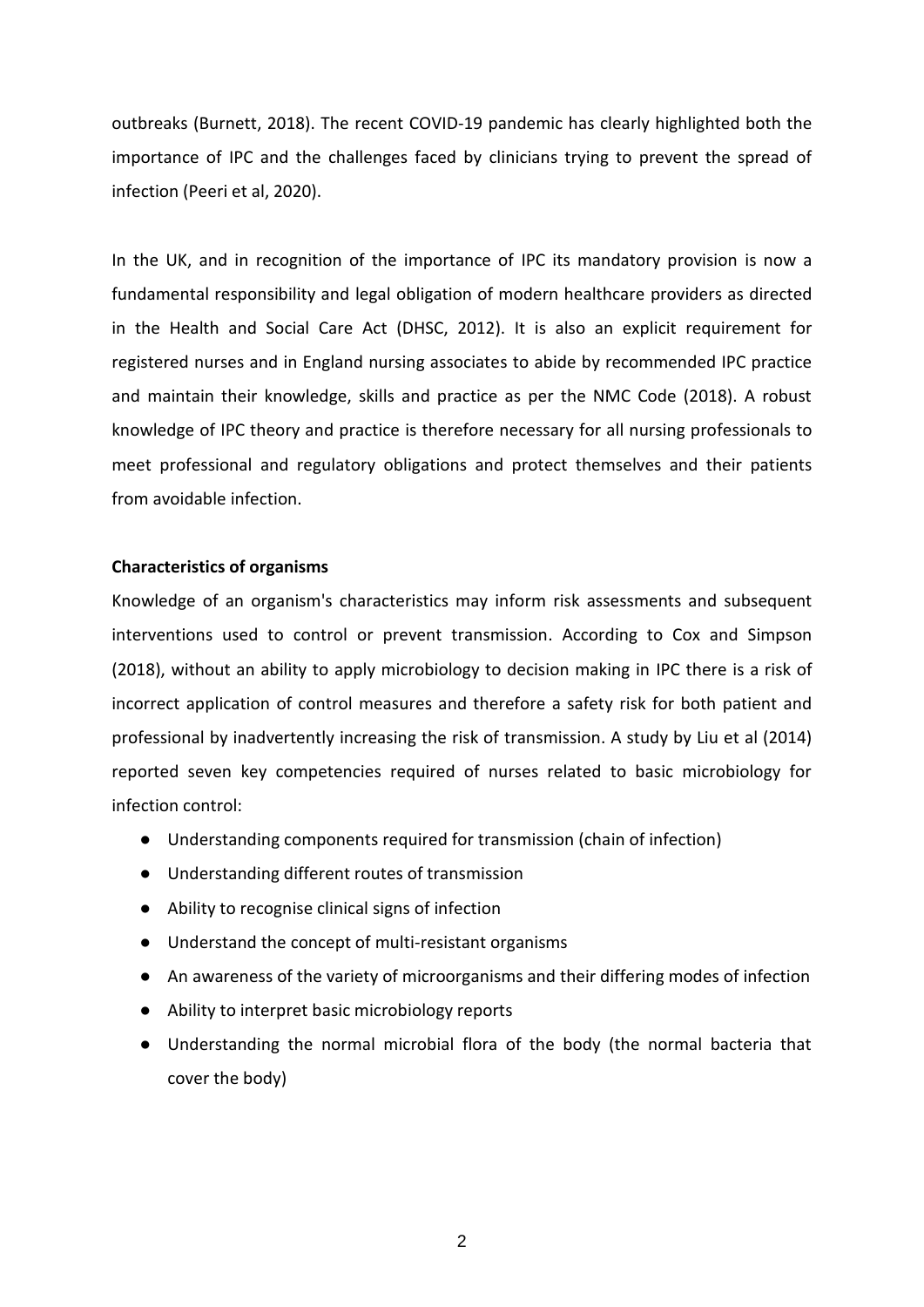outbreaks (Burnett, 2018). The recent COVID-19 pandemic has clearly highlighted both the importance of IPC and the challenges faced by clinicians trying to prevent the spread of infection (Peeri et al, 2020).

In the UK, and in recognition of the importance of IPC its mandatory provision is now a fundamental responsibility and legal obligation of modern healthcare providers as directed in the Health and Social Care Act (DHSC, 2012). It is also an explicit requirement for registered nurses and in England nursing associates to abide by recommended IPC practice and maintain their knowledge, skills and practice as per the NMC Code (2018). A robust knowledge of IPC theory and practice is therefore necessary for all nursing professionals to meet professional and regulatory obligations and protect themselves and their patients from avoidable infection.

# **Characteristics of organisms**

Knowledge of an organism's characteristics may inform risk assessments and subsequent interventions used to control or prevent transmission. According to Cox and Simpson (2018), without an ability to apply microbiology to decision making in IPC there is a risk of incorrect application of control measures and therefore a safety risk for both patient and professional by inadvertently increasing the risk of transmission. A study by Liu et al (2014) reported seven key competencies required of nurses related to basic microbiology for infection control:

- Understanding components required for transmission (chain of infection)
- Understanding different routes of transmission
- Ability to recognise clinical signs of infection
- Understand the concept of multi-resistant organisms
- An awareness of the variety of microorganisms and their differing modes of infection
- Ability to interpret basic microbiology reports
- Understanding the normal microbial flora of the body (the normal bacteria that cover the body)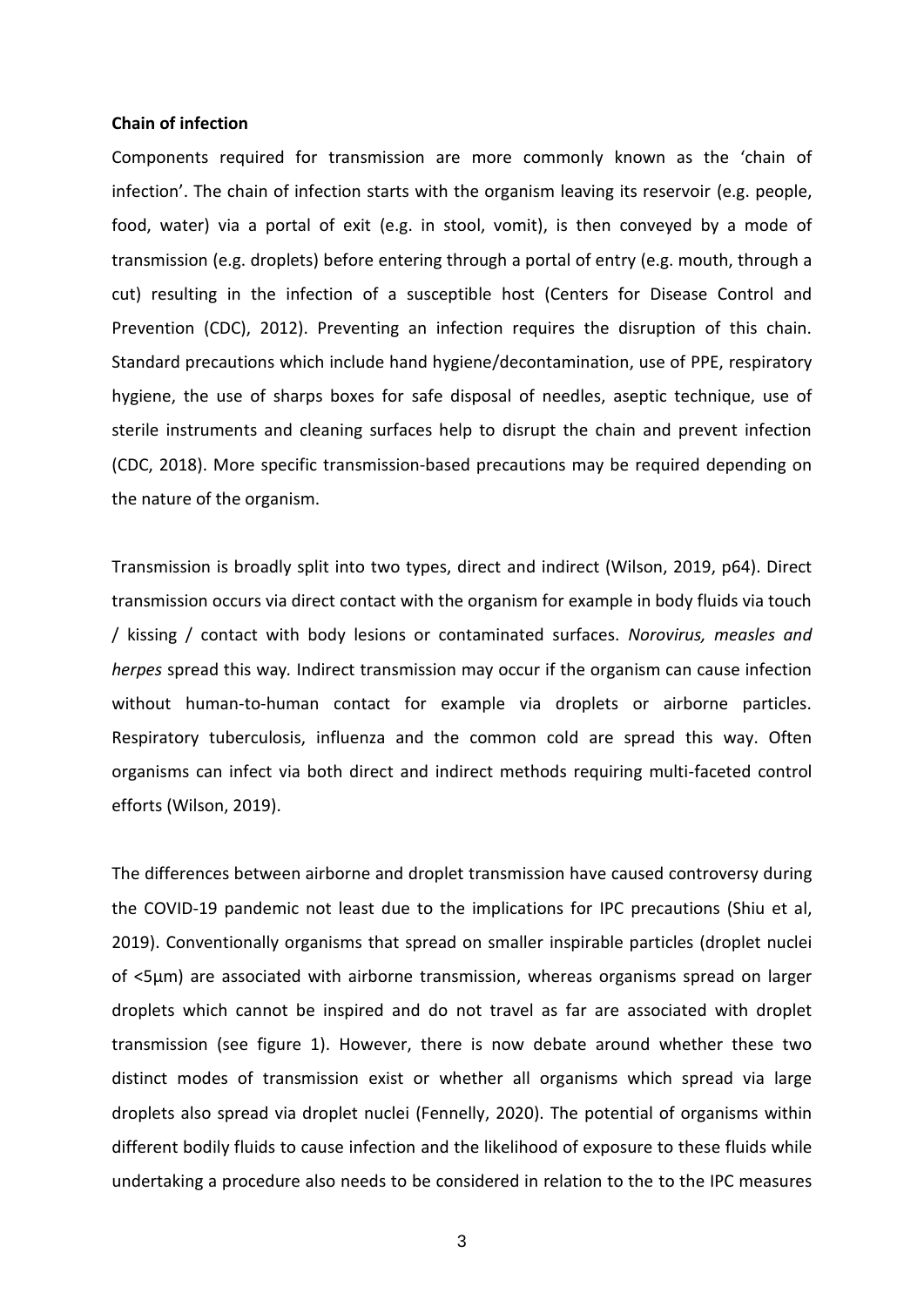# **Chain of infection**

Components required for transmission are more commonly known as the 'chain of infection'. The chain of infection starts with the organism leaving its reservoir (e.g. people, food, water) via a portal of exit (e.g. in stool, vomit), is then conveyed by a mode of transmission (e.g. droplets) before entering through a portal of entry (e.g. mouth, through a cut) resulting in the infection of a susceptible host (Centers for Disease Control and Prevention (CDC), 2012). Preventing an infection requires the disruption of this chain. Standard precautions which include hand hygiene/decontamination, use of PPE, respiratory hygiene, the use of sharps boxes for safe disposal of needles, aseptic technique, use of sterile instruments and cleaning surfaces help to disrupt the chain and prevent infection (CDC, 2018). More specific transmission-based precautions may be required depending on the nature of the organism.

Transmission is broadly split into two types, direct and indirect (Wilson, 2019, p64). Direct transmission occurs via direct contact with the organism for example in body fluids via touch / kissing / contact with body lesions or contaminated surfaces. *Norovirus, measles and herpes* spread this way*.* Indirect transmission may occur if the organism can cause infection without human-to-human contact for example via droplets or airborne particles. Respiratory tuberculosis, influenza and the common cold are spread this way. Often organisms can infect via both direct and indirect methods requiring multi-faceted control efforts (Wilson, 2019).

The differences between airborne and droplet transmission have caused controversy during the COVID-19 pandemic not least due to the implications for IPC precautions (Shiu et al, 2019). Conventionally organisms that spread on smaller inspirable particles (droplet nuclei of <5μm) are associated with airborne transmission, whereas organisms spread on larger droplets which cannot be inspired and do not travel as far are associated with droplet transmission (see figure 1). However, there is now debate around whether these two distinct modes of transmission exist or whether all organisms which spread via large droplets also spread via droplet nuclei (Fennelly, 2020). The potential of organisms within different bodily fluids to cause infection and the likelihood of exposure to these fluids while undertaking a procedure also needs to be considered in relation to the to the IPC measures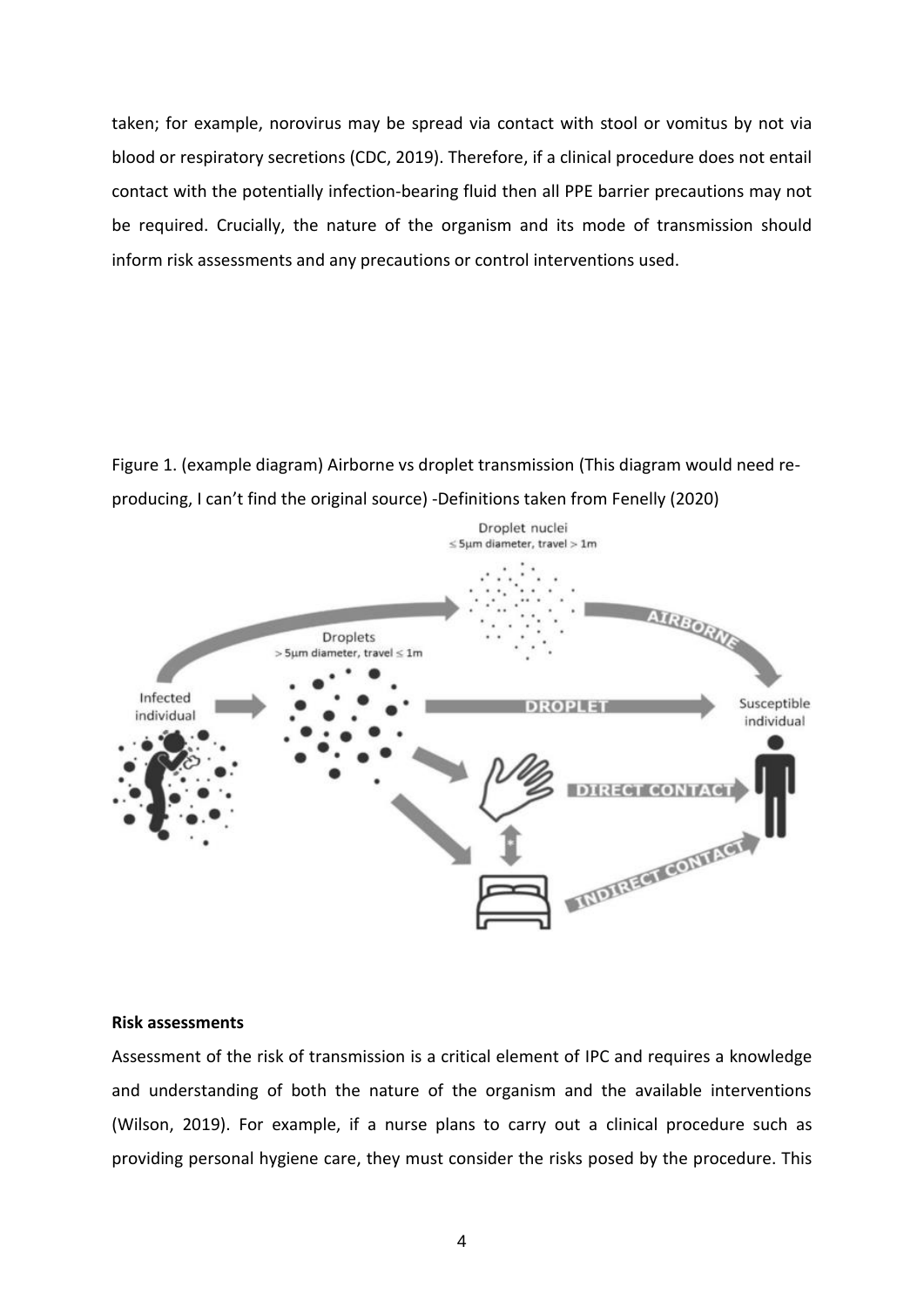taken; for example, norovirus may be spread via contact with stool or vomitus by not via blood or respiratory secretions (CDC, 2019). Therefore, if a clinical procedure does not entail contact with the potentially infection-bearing fluid then all PPE barrier precautions may not be required. Crucially, the nature of the organism and its mode of transmission should inform risk assessments and any precautions or control interventions used.

Figure 1. (example diagram) Airborne vs droplet transmission (This diagram would need reproducing, I can't find the original source) -Definitions taken from Fenelly (2020)



### **Risk assessments**

Assessment of the risk of transmission is a critical element of IPC and requires a knowledge and understanding of both the nature of the organism and the available interventions (Wilson, 2019). For example, if a nurse plans to carry out a clinical procedure such as providing personal hygiene care, they must consider the risks posed by the procedure. This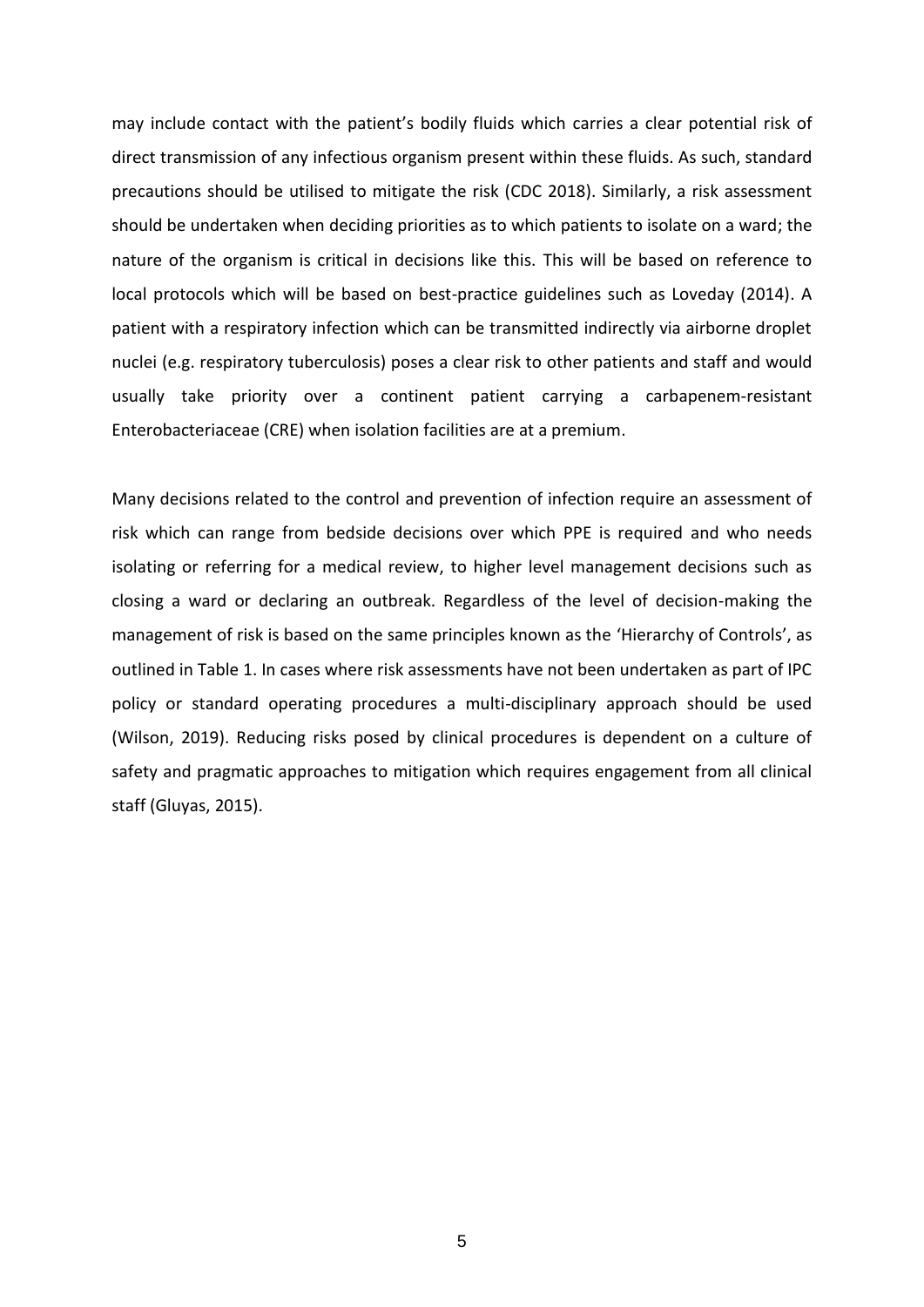may include contact with the patient's bodily fluids which carries a clear potential risk of direct transmission of any infectious organism present within these fluids. As such, standard precautions should be utilised to mitigate the risk (CDC 2018). Similarly, a risk assessment should be undertaken when deciding priorities as to which patients to isolate on a ward; the nature of the organism is critical in decisions like this. This will be based on reference to local protocols which will be based on best-practice guidelines such as Loveday (2014). A patient with a respiratory infection which can be transmitted indirectly via airborne droplet nuclei (e.g. respiratory tuberculosis) poses a clear risk to other patients and staff and would usually take priority over a continent patient carrying a carbapenem-resistant Enterobacteriaceae (CRE) when isolation facilities are at a premium.

Many decisions related to the control and prevention of infection require an assessment of risk which can range from bedside decisions over which PPE is required and who needs isolating or referring for a medical review, to higher level management decisions such as closing a ward or declaring an outbreak. Regardless of the level of decision-making the management of risk is based on the same principles known as the 'Hierarchy of Controls', as outlined in Table 1. In cases where risk assessments have not been undertaken as part of IPC policy or standard operating procedures a multi-disciplinary approach should be used (Wilson, 2019). Reducing risks posed by clinical procedures is dependent on a culture of safety and pragmatic approaches to mitigation which requires engagement from all clinical staff (Gluyas, 2015).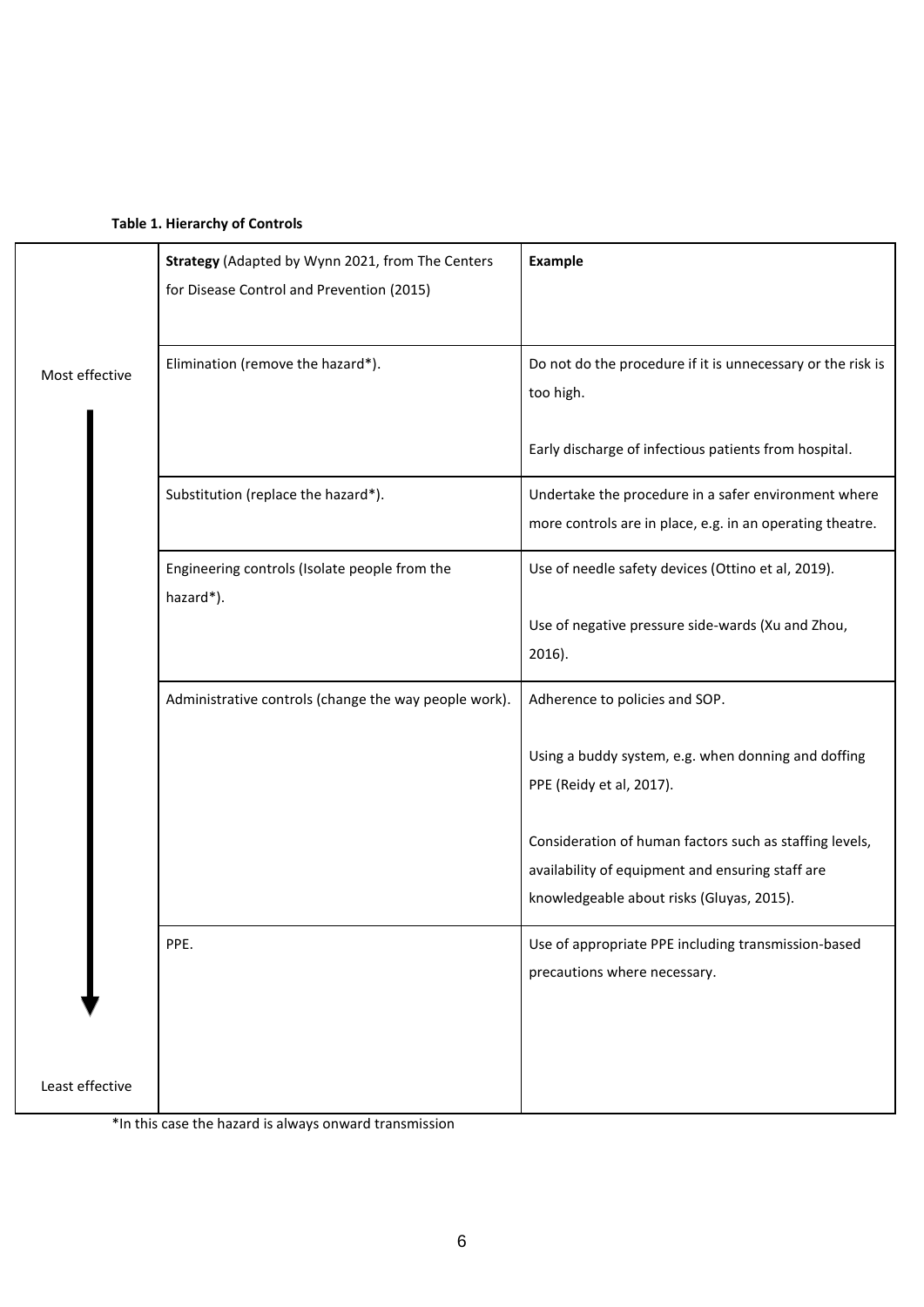|                 | Strategy (Adapted by Wynn 2021, from The Centers<br>for Disease Control and Prevention (2015) | Example                                                                                                                                                  |
|-----------------|-----------------------------------------------------------------------------------------------|----------------------------------------------------------------------------------------------------------------------------------------------------------|
| Most effective  | Elimination (remove the hazard*).                                                             | Do not do the procedure if it is unnecessary or the risk is<br>too high.                                                                                 |
|                 |                                                                                               | Early discharge of infectious patients from hospital.                                                                                                    |
|                 | Substitution (replace the hazard*).                                                           | Undertake the procedure in a safer environment where<br>more controls are in place, e.g. in an operating theatre.                                        |
|                 | Engineering controls (Isolate people from the<br>hazard*).                                    | Use of needle safety devices (Ottino et al, 2019).                                                                                                       |
|                 |                                                                                               | Use of negative pressure side-wards (Xu and Zhou,<br>$2016$ ).                                                                                           |
|                 | Administrative controls (change the way people work).                                         | Adherence to policies and SOP.                                                                                                                           |
|                 |                                                                                               | Using a buddy system, e.g. when donning and doffing<br>PPE (Reidy et al, 2017).                                                                          |
|                 |                                                                                               | Consideration of human factors such as staffing levels,<br>availability of equipment and ensuring staff are<br>knowledgeable about risks (Gluyas, 2015). |
|                 | PPE.                                                                                          | Use of appropriate PPE including transmission-based<br>precautions where necessary.                                                                      |
| Least effective |                                                                                               |                                                                                                                                                          |

\*In this case the hazard is always onward transmission

ı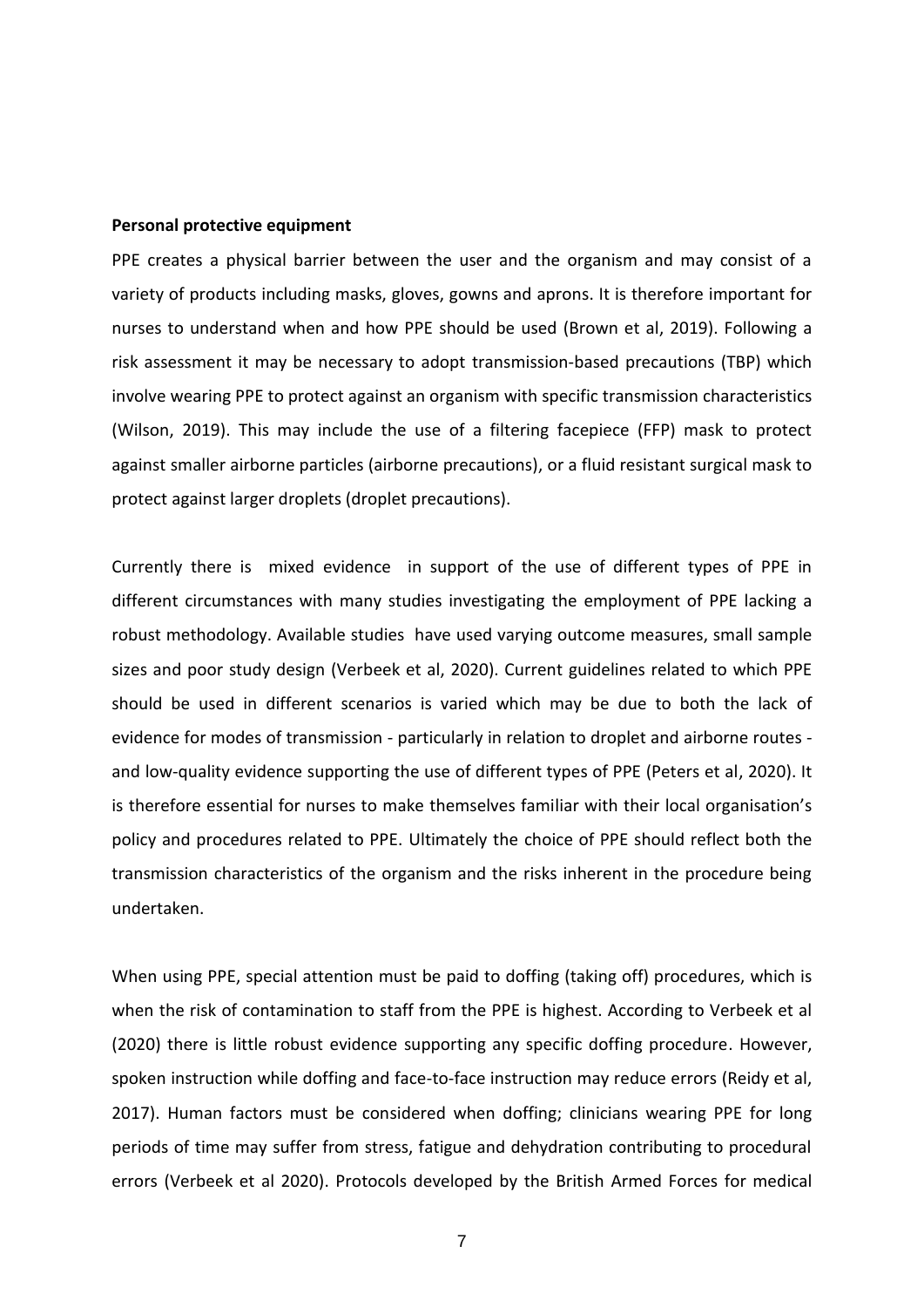#### **Personal protective equipment**

PPE creates a physical barrier between the user and the organism and may consist of a variety of products including masks, gloves, gowns and aprons. It is therefore important for nurses to understand when and how PPE should be used (Brown et al, 2019). Following a risk assessment it may be necessary to adopt transmission-based precautions (TBP) which involve wearing PPE to protect against an organism with specific transmission characteristics (Wilson, 2019). This may include the use of a filtering facepiece (FFP) mask to protect against smaller airborne particles (airborne precautions), or a fluid resistant surgical mask to protect against larger droplets (droplet precautions).

Currently there is mixed evidence in support of the use of different types of PPE in different circumstances with many studies investigating the employment of PPE lacking a robust methodology. Available studies have used varying outcome measures, small sample sizes and poor study design (Verbeek et al, 2020). Current guidelines related to which PPE should be used in different scenarios is varied which may be due to both the lack of evidence for modes of transmission - particularly in relation to droplet and airborne routes and low-quality evidence supporting the use of different types of PPE (Peters et al, 2020). It is therefore essential for nurses to make themselves familiar with their local organisation's policy and procedures related to PPE. Ultimately the choice of PPE should reflect both the transmission characteristics of the organism and the risks inherent in the procedure being undertaken.

When using PPE, special attention must be paid to doffing (taking off) procedures, which is when the risk of contamination to staff from the PPE is highest. According to Verbeek et al (2020) there is little robust evidence supporting any specific doffing procedure. However, spoken instruction while doffing and face-to-face instruction may reduce errors (Reidy et al, 2017). Human factors must be considered when doffing; clinicians wearing PPE for long periods of time may suffer from stress, fatigue and dehydration contributing to procedural errors (Verbeek et al 2020). Protocols developed by the British Armed Forces for medical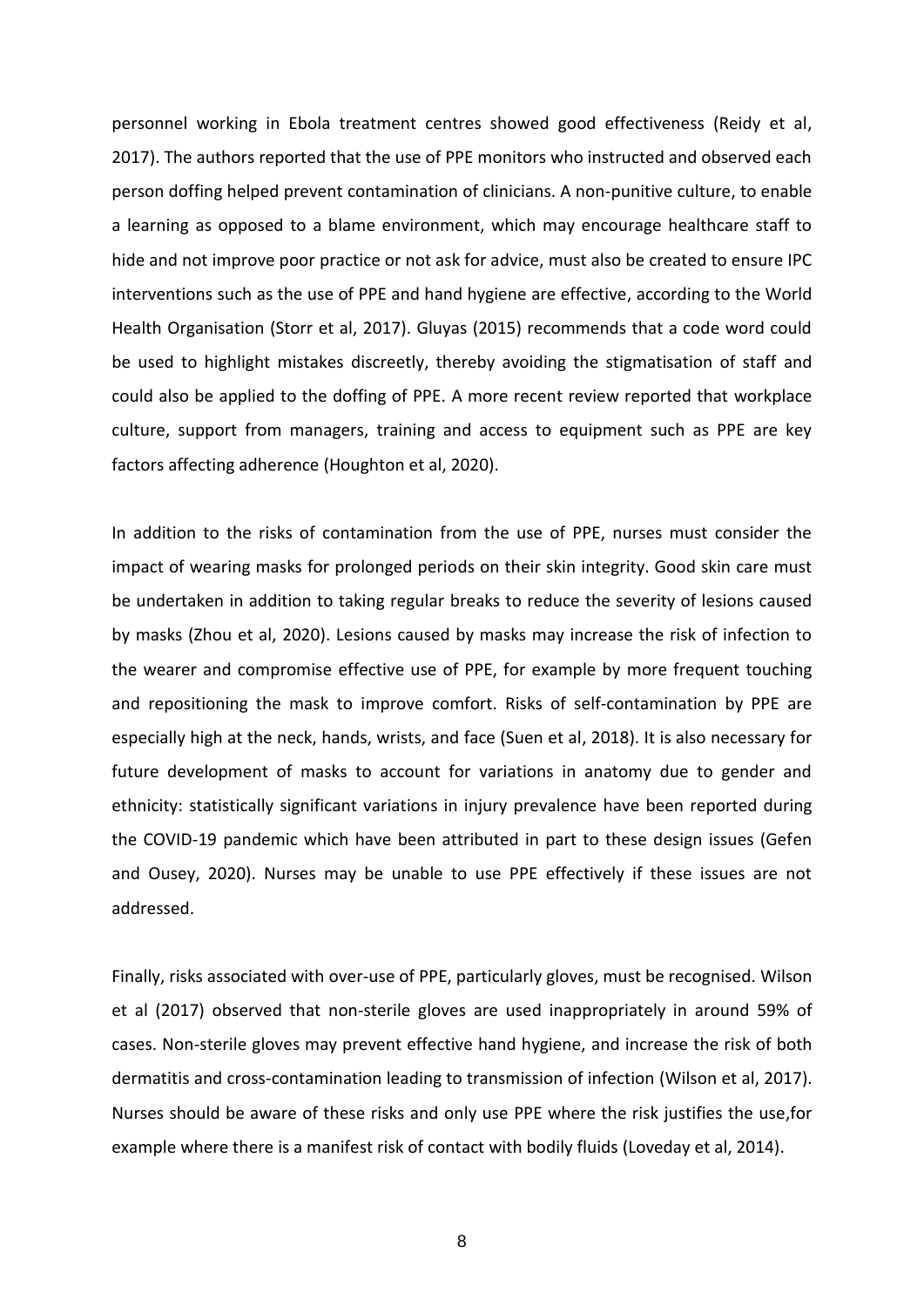personnel working in Ebola treatment centres showed good effectiveness (Reidy et al, 2017). The authors reported that the use of PPE monitors who instructed and observed each person doffing helped prevent contamination of clinicians. A non-punitive culture, to enable a learning as opposed to a blame environment, which may encourage healthcare staff to hide and not improve poor practice or not ask for advice, must also be created to ensure IPC interventions such as the use of PPE and hand hygiene are effective, according to the World Health Organisation (Storr et al, 2017). Gluyas (2015) recommends that a code word could be used to highlight mistakes discreetly, thereby avoiding the stigmatisation of staff and could also be applied to the doffing of PPE. A more recent review reported that workplace culture, support from managers, training and access to equipment such as PPE are key factors affecting adherence (Houghton et al, 2020).

In addition to the risks of contamination from the use of PPE, nurses must consider the impact of wearing masks for prolonged periods on their skin integrity. Good skin care must be undertaken in addition to taking regular breaks to reduce the severity of lesions caused by masks (Zhou et al, 2020). Lesions caused by masks may increase the risk of infection to the wearer and compromise effective use of PPE, for example by more frequent touching and repositioning the mask to improve comfort. Risks of self-contamination by PPE are especially high at the neck, hands, wrists, and face (Suen et al, 2018). It is also necessary for future development of masks to account for variations in anatomy due to gender and ethnicity: statistically significant variations in injury prevalence have been reported during the COVID-19 pandemic which have been attributed in part to these design issues (Gefen and Ousey, 2020). Nurses may be unable to use PPE effectively if these issues are not addressed.

Finally, risks associated with over-use of PPE, particularly gloves, must be recognised. Wilson et al (2017) observed that non-sterile gloves are used inappropriately in around 59% of cases. Non-sterile gloves may prevent effective hand hygiene, and increase the risk of both dermatitis and cross-contamination leading to transmission of infection (Wilson et al, 2017). Nurses should be aware of these risks and only use PPE where the risk justifies the use,for example where there is a manifest risk of contact with bodily fluids (Loveday et al, 2014).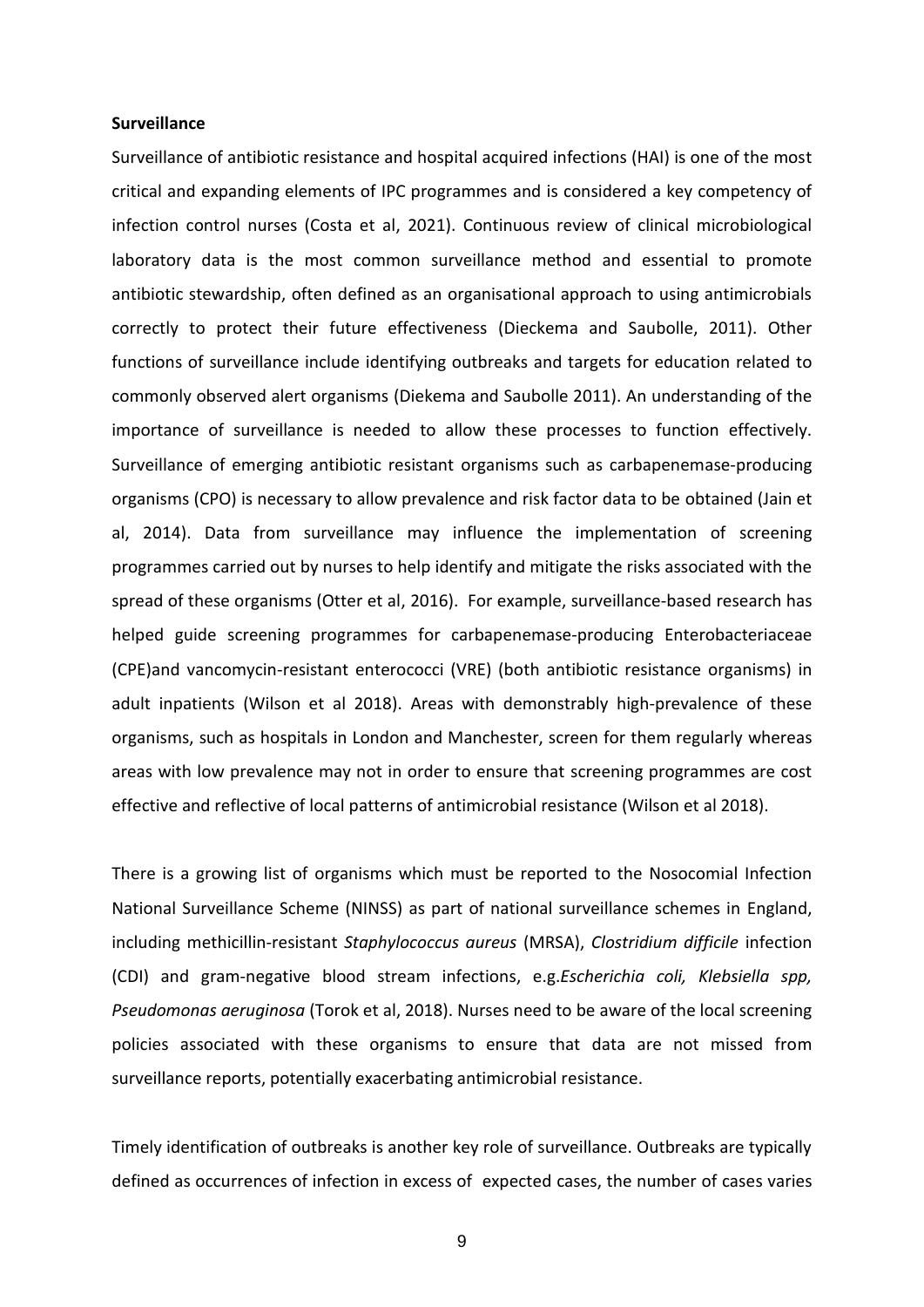# **Surveillance**

Surveillance of antibiotic resistance and hospital acquired infections (HAI) is one of the most critical and expanding elements of IPC programmes and is considered a key competency of infection control nurses (Costa et al, 2021). Continuous review of clinical microbiological laboratory data is the most common surveillance method and essential to promote antibiotic stewardship, often defined as an organisational approach to using antimicrobials correctly to protect their future effectiveness (Dieckema and Saubolle, 2011). Other functions of surveillance include identifying outbreaks and targets for education related to commonly observed alert organisms (Diekema and Saubolle 2011). An understanding of the importance of surveillance is needed to allow these processes to function effectively. Surveillance of emerging antibiotic resistant organisms such as carbapenemase-producing organisms (CPO) is necessary to allow prevalence and risk factor data to be obtained (Jain et al, 2014). Data from surveillance may influence the implementation of screening programmes carried out by nurses to help identify and mitigate the risks associated with the spread of these organisms (Otter et al, 2016). For example, surveillance-based research has helped guide screening programmes for carbapenemase-producing Enterobacteriaceae (CPE)and vancomycin-resistant enterococci (VRE) (both antibiotic resistance organisms) in adult inpatients (Wilson et al 2018). Areas with demonstrably high-prevalence of these organisms, such as hospitals in London and Manchester, screen for them regularly whereas areas with low prevalence may not in order to ensure that screening programmes are cost effective and reflective of local patterns of antimicrobial resistance (Wilson et al 2018).

There is a growing list of organisms which must be reported to the Nosocomial Infection National Surveillance Scheme (NINSS) as part of national surveillance schemes in England, including methicillin-resistant *Staphylococcus aureus* (MRSA), *Clostridium difficile* infection (CDI) and gram-negative blood stream infections, e.g.*Escherichia coli, Klebsiella spp, Pseudomonas aeruginosa* (Torok et al, 2018). Nurses need to be aware of the local screening policies associated with these organisms to ensure that data are not missed from surveillance reports, potentially exacerbating antimicrobial resistance.

Timely identification of outbreaks is another key role of surveillance. Outbreaks are typically defined as occurrences of infection in excess of expected cases, the number of cases varies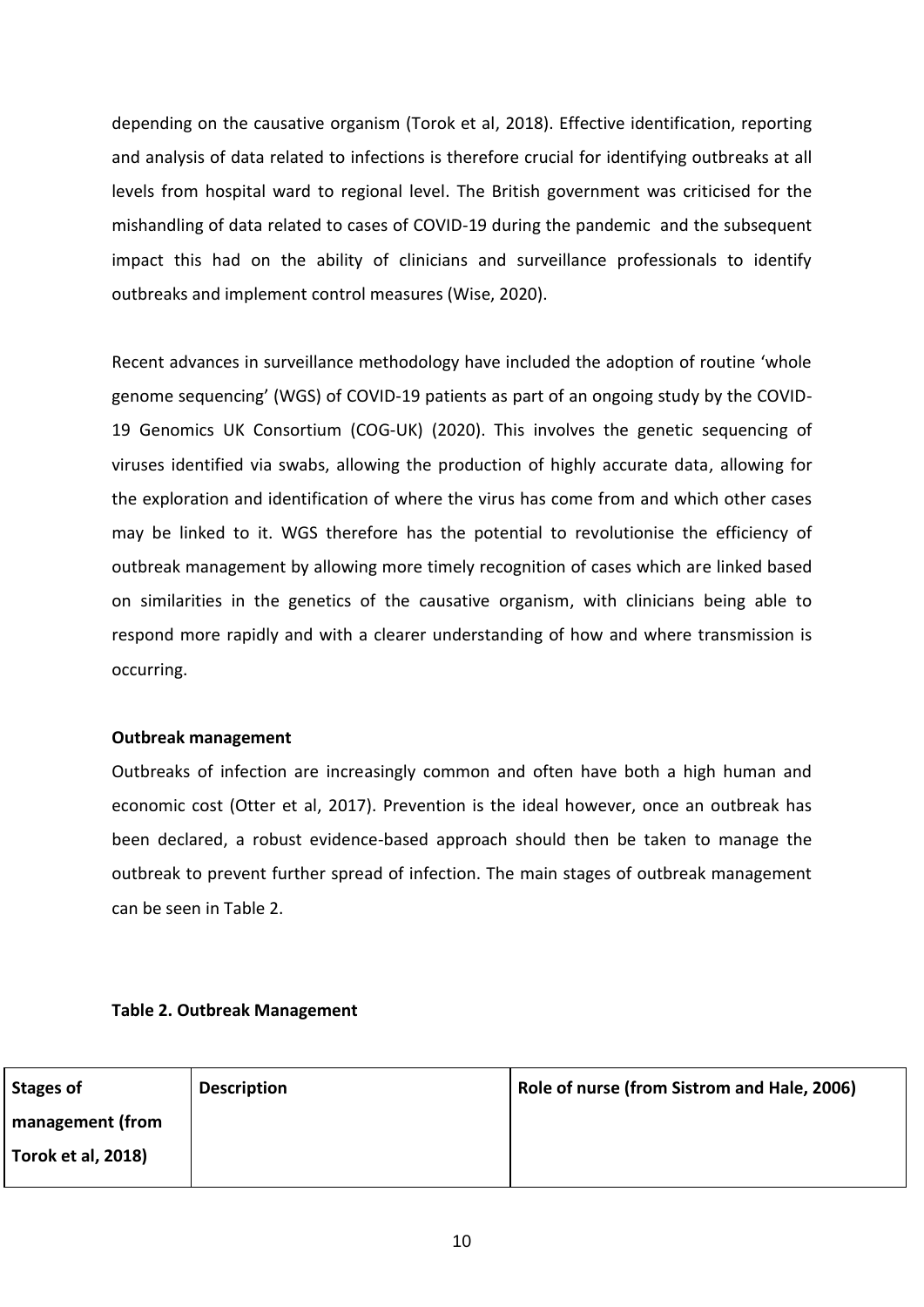depending on the causative organism (Torok et al, 2018). Effective identification, reporting and analysis of data related to infections is therefore crucial for identifying outbreaks at all levels from hospital ward to regional level. The British government was criticised for the mishandling of data related to cases of COVID-19 during the pandemic and the subsequent impact this had on the ability of clinicians and surveillance professionals to identify outbreaks and implement control measures (Wise, 2020).

Recent advances in surveillance methodology have included the adoption of routine 'whole genome sequencing' (WGS) of COVID-19 patients as part of an ongoing study by the COVID-19 Genomics UK Consortium (COG-UK) (2020). This involves the genetic sequencing of viruses identified via swabs, allowing the production of highly accurate data, allowing for the exploration and identification of where the virus has come from and which other cases may be linked to it. WGS therefore has the potential to revolutionise the efficiency of outbreak management by allowing more timely recognition of cases which are linked based on similarities in the genetics of the causative organism, with clinicians being able to respond more rapidly and with a clearer understanding of how and where transmission is occurring.

# **Outbreak management**

Outbreaks of infection are increasingly common and often have both a high human and economic cost (Otter et al, 2017). Prevention is the ideal however, once an outbreak has been declared, a robust evidence-based approach should then be taken to manage the outbreak to prevent further spread of infection. The main stages of outbreak management can be seen in Table 2.

# **Table 2. Outbreak Management**

| <b>Stages of</b>          | <b>Description</b> | Role of nurse (from Sistrom and Hale, 2006) |
|---------------------------|--------------------|---------------------------------------------|
| management (from          |                    |                                             |
| <b>Torok et al, 2018)</b> |                    |                                             |
|                           |                    |                                             |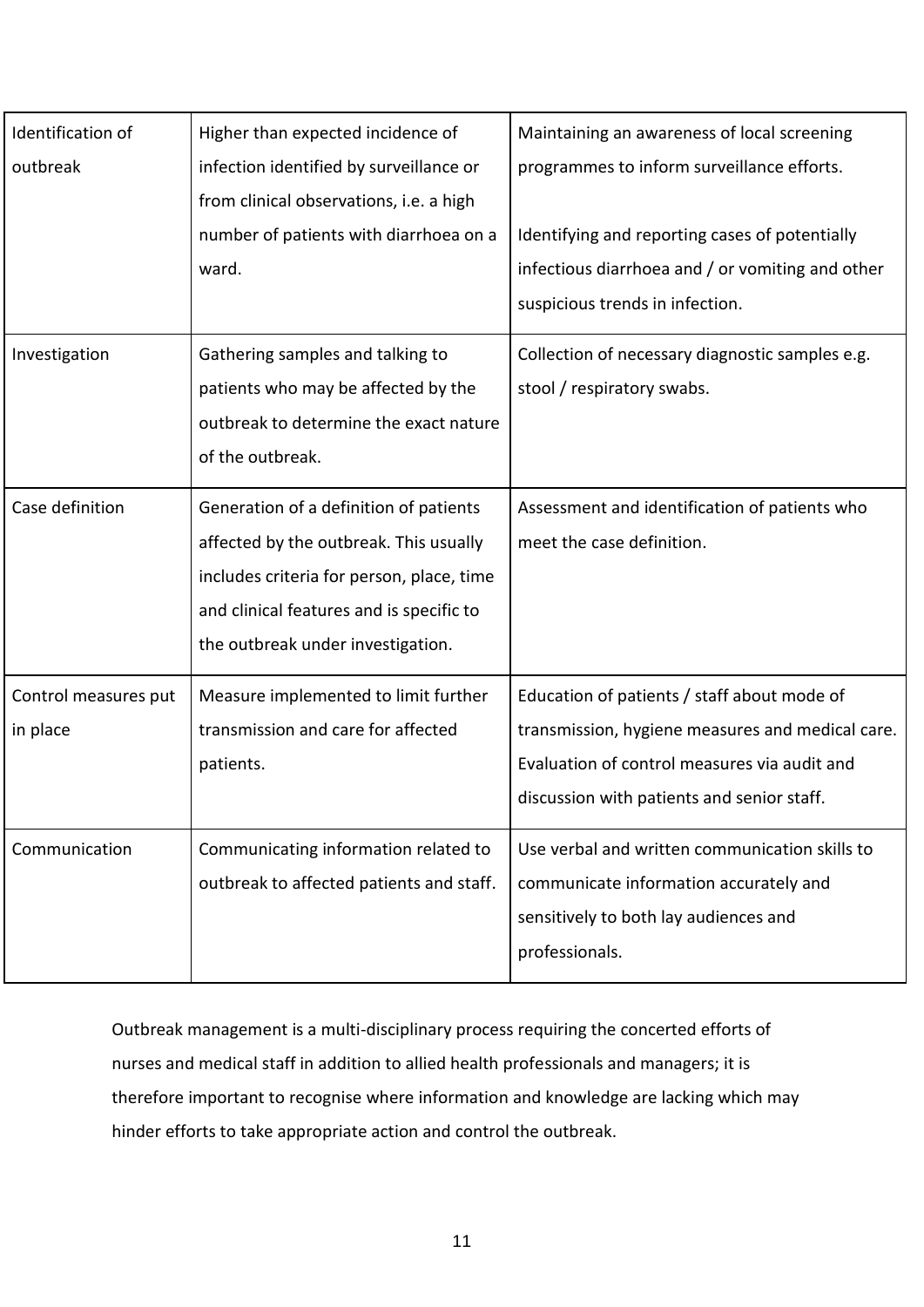| Identification of    | Higher than expected incidence of         | Maintaining an awareness of local screening      |
|----------------------|-------------------------------------------|--------------------------------------------------|
| outbreak             | infection identified by surveillance or   | programmes to inform surveillance efforts.       |
|                      | from clinical observations, i.e. a high   |                                                  |
|                      | number of patients with diarrhoea on a    | Identifying and reporting cases of potentially   |
|                      | ward.                                     | infectious diarrhoea and / or vomiting and other |
|                      |                                           | suspicious trends in infection.                  |
| Investigation        | Gathering samples and talking to          | Collection of necessary diagnostic samples e.g.  |
|                      | patients who may be affected by the       | stool / respiratory swabs.                       |
|                      | outbreak to determine the exact nature    |                                                  |
|                      | of the outbreak.                          |                                                  |
| Case definition      | Generation of a definition of patients    | Assessment and identification of patients who    |
|                      | affected by the outbreak. This usually    | meet the case definition.                        |
|                      | includes criteria for person, place, time |                                                  |
|                      | and clinical features and is specific to  |                                                  |
|                      | the outbreak under investigation.         |                                                  |
| Control measures put | Measure implemented to limit further      | Education of patients / staff about mode of      |
| in place             | transmission and care for affected        | transmission, hygiene measures and medical care. |
|                      | patients.                                 | Evaluation of control measures via audit and     |
|                      |                                           | discussion with patients and senior staff.       |
| Communication        | Communicating information related to      | Use verbal and written communication skills to   |
|                      | outbreak to affected patients and staff.  | communicate information accurately and           |
|                      |                                           | sensitively to both lay audiences and            |
|                      |                                           | professionals.                                   |
|                      |                                           |                                                  |

Outbreak management is a multi-disciplinary process requiring the concerted efforts of nurses and medical staff in addition to allied health professionals and managers; it is therefore important to recognise where information and knowledge are lacking which may hinder efforts to take appropriate action and control the outbreak.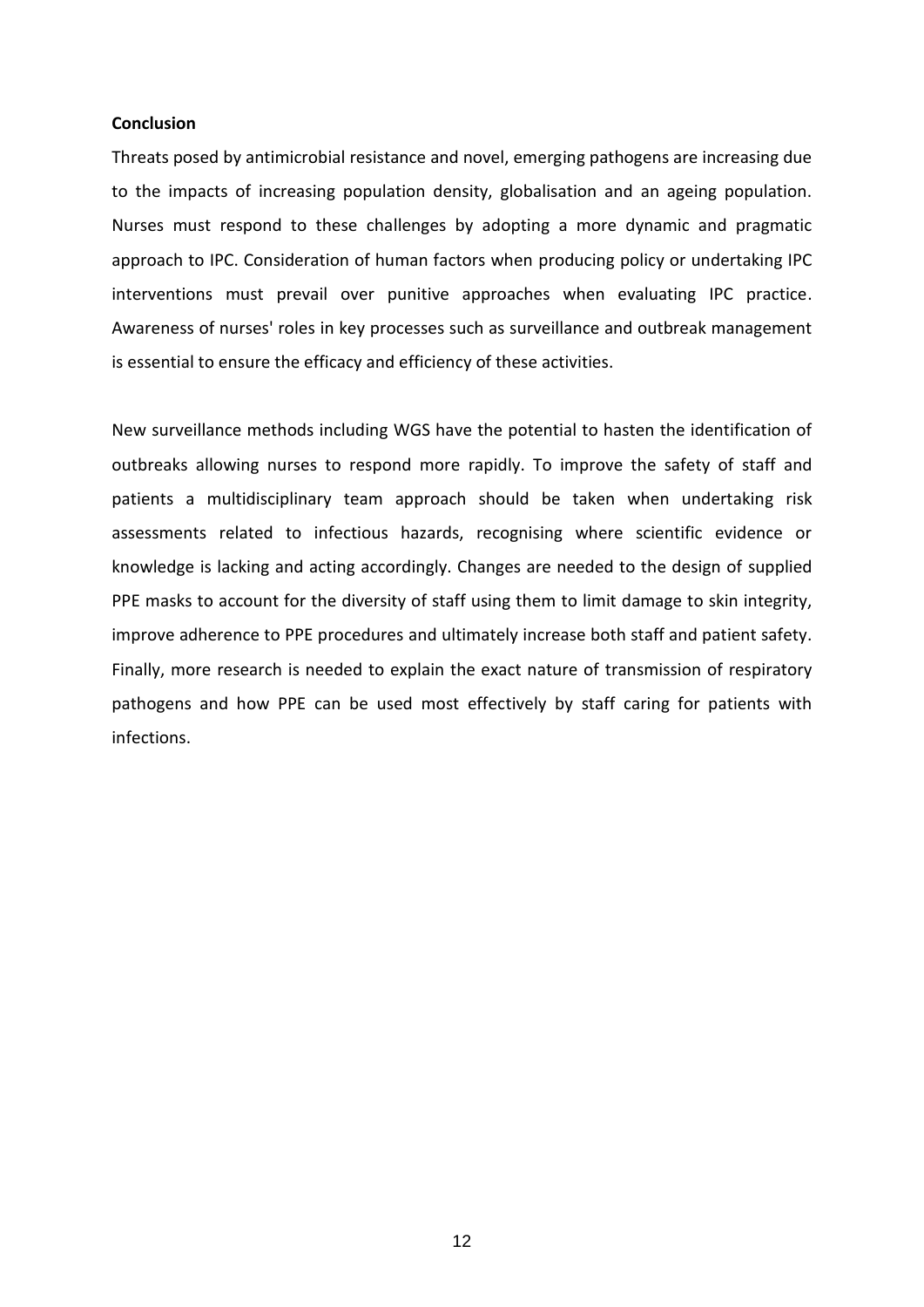# **Conclusion**

Threats posed by antimicrobial resistance and novel, emerging pathogens are increasing due to the impacts of increasing population density, globalisation and an ageing population. Nurses must respond to these challenges by adopting a more dynamic and pragmatic approach to IPC. Consideration of human factors when producing policy or undertaking IPC interventions must prevail over punitive approaches when evaluating IPC practice. Awareness of nurses' roles in key processes such as surveillance and outbreak management is essential to ensure the efficacy and efficiency of these activities.

New surveillance methods including WGS have the potential to hasten the identification of outbreaks allowing nurses to respond more rapidly. To improve the safety of staff and patients a multidisciplinary team approach should be taken when undertaking risk assessments related to infectious hazards, recognising where scientific evidence or knowledge is lacking and acting accordingly. Changes are needed to the design of supplied PPE masks to account for the diversity of staff using them to limit damage to skin integrity, improve adherence to PPE procedures and ultimately increase both staff and patient safety. Finally, more research is needed to explain the exact nature of transmission of respiratory pathogens and how PPE can be used most effectively by staff caring for patients with infections.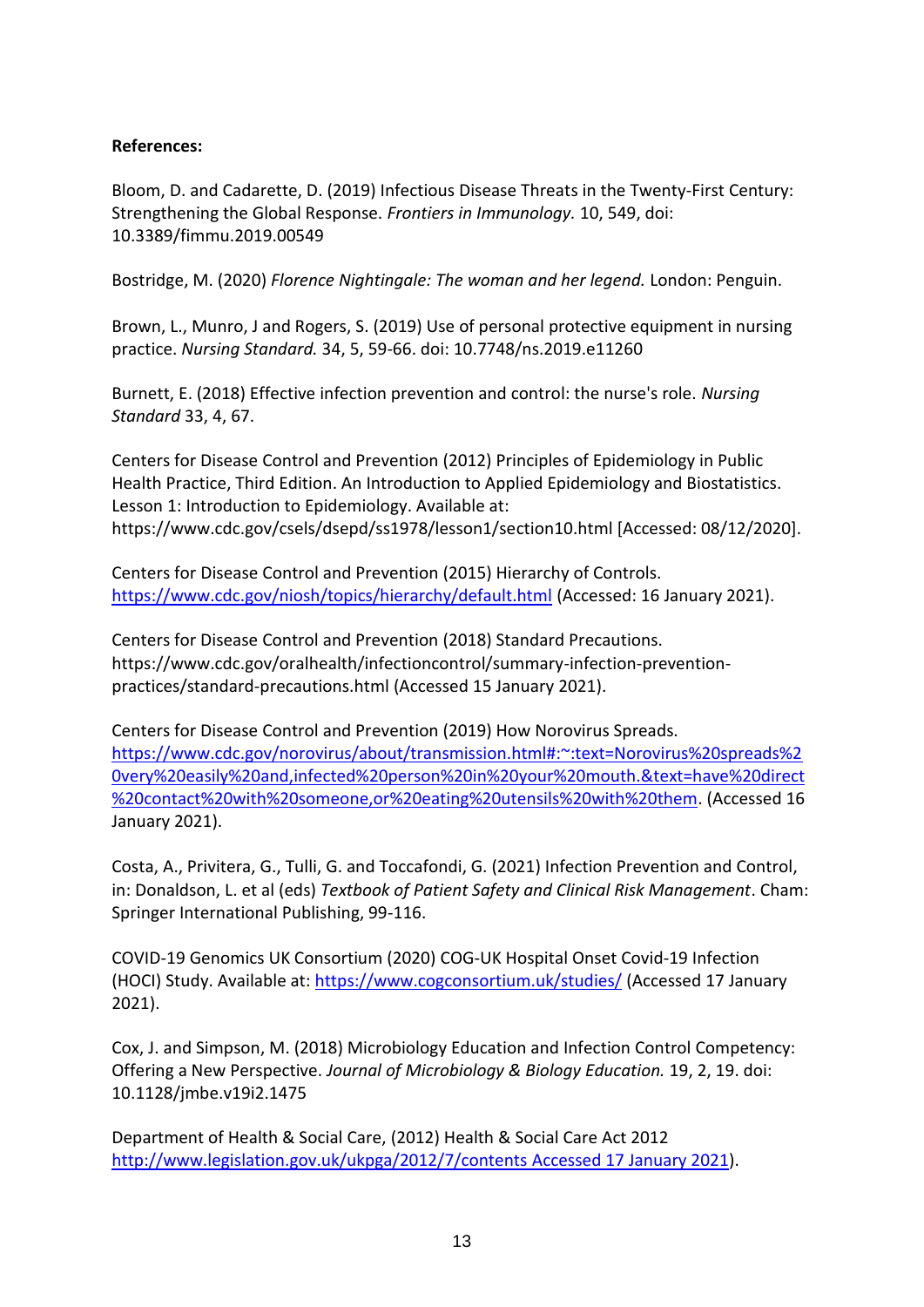# **References:**

Bloom, D. and Cadarette, D. (2019) Infectious Disease Threats in the Twenty-First Century: Strengthening the Global Response. *Frontiers in Immunology.* 10, 549, doi: 10.3389/fimmu.2019.00549

Bostridge, M. (2020) *Florence Nightingale: The woman and her legend.* London: Penguin.

Brown, L., Munro, J and Rogers, S. (2019) Use of personal protective equipment in nursing practice. *Nursing Standard.* 34, 5, 59-66. doi: 10.7748/ns.2019.e11260

Burnett, E. (2018) Effective infection prevention and control: the nurse's role. *Nursing Standard* 33, 4, 67.

Centers for Disease Control and Prevention (2012) Principles of Epidemiology in Public Health Practice, Third Edition. An Introduction to Applied Epidemiology and Biostatistics. Lesson 1: Introduction to Epidemiology. Available at: https://www.cdc.gov/csels/dsepd/ss1978/lesson1/section10.html [Accessed: 08/12/2020].

Centers for Disease Control and Prevention (2015) Hierarchy of Controls. <https://www.cdc.gov/niosh/topics/hierarchy/default.html> (Accessed: 16 January 2021).

Centers for Disease Control and Prevention (2018) Standard Precautions. https://www.cdc.gov/oralhealth/infectioncontrol/summary-infection-preventionpractices/standard-precautions.html (Accessed 15 January 2021).

Centers for Disease Control and Prevention (2019) How Norovirus Spreads. [https://www.cdc.gov/norovirus/about/transmission.html#:~:text=Norovirus%20spreads%2](https://www.cdc.gov/norovirus/about/transmission.html#:~:text=Norovirus%20spreads%20very%20easily%20and,infected%20person%20in%20your%20mouth.&text=have%20direct%20contact%20with%20someone,or%20eating%20utensils%20with%20them) [0very%20easily%20and,infected%20person%20in%20your%20mouth.&text=have%20direct](https://www.cdc.gov/norovirus/about/transmission.html#:~:text=Norovirus%20spreads%20very%20easily%20and,infected%20person%20in%20your%20mouth.&text=have%20direct%20contact%20with%20someone,or%20eating%20utensils%20with%20them) [%20contact%20with%20someone,or%20eating%20utensils%20with%20them.](https://www.cdc.gov/norovirus/about/transmission.html#:~:text=Norovirus%20spreads%20very%20easily%20and,infected%20person%20in%20your%20mouth.&text=have%20direct%20contact%20with%20someone,or%20eating%20utensils%20with%20them) (Accessed 16 January 2021).

Costa, A., Privitera, G., Tulli, G. and Toccafondi, G. (2021) Infection Prevention and Control, in: Donaldson, L. et al (eds) *Textbook of Patient Safety and Clinical Risk Management*. Cham: Springer International Publishing, 99-116.

COVID-19 Genomics UK Consortium (2020) COG-UK Hospital Onset Covid-19 Infection (HOCI) Study. Available at:<https://www.cogconsortium.uk/studies/> (Accessed 17 January 2021).

Cox, J. and Simpson, M. (2018) Microbiology Education and Infection Control Competency: Offering a New Perspective. *Journal of Microbiology & Biology Education.* 19, 2, 19. doi: 10.1128/jmbe.v19i2.1475

Department of Health & Social Care, (2012) Health & Social Care Act 2012 [http://www.legislation.gov.uk/ukpga/2012/7/contents Accessed 17 January 2021\)](http://www.legislation.gov.uk/ukpga/2012/7/contents%20Accessed%2017%20January%202021).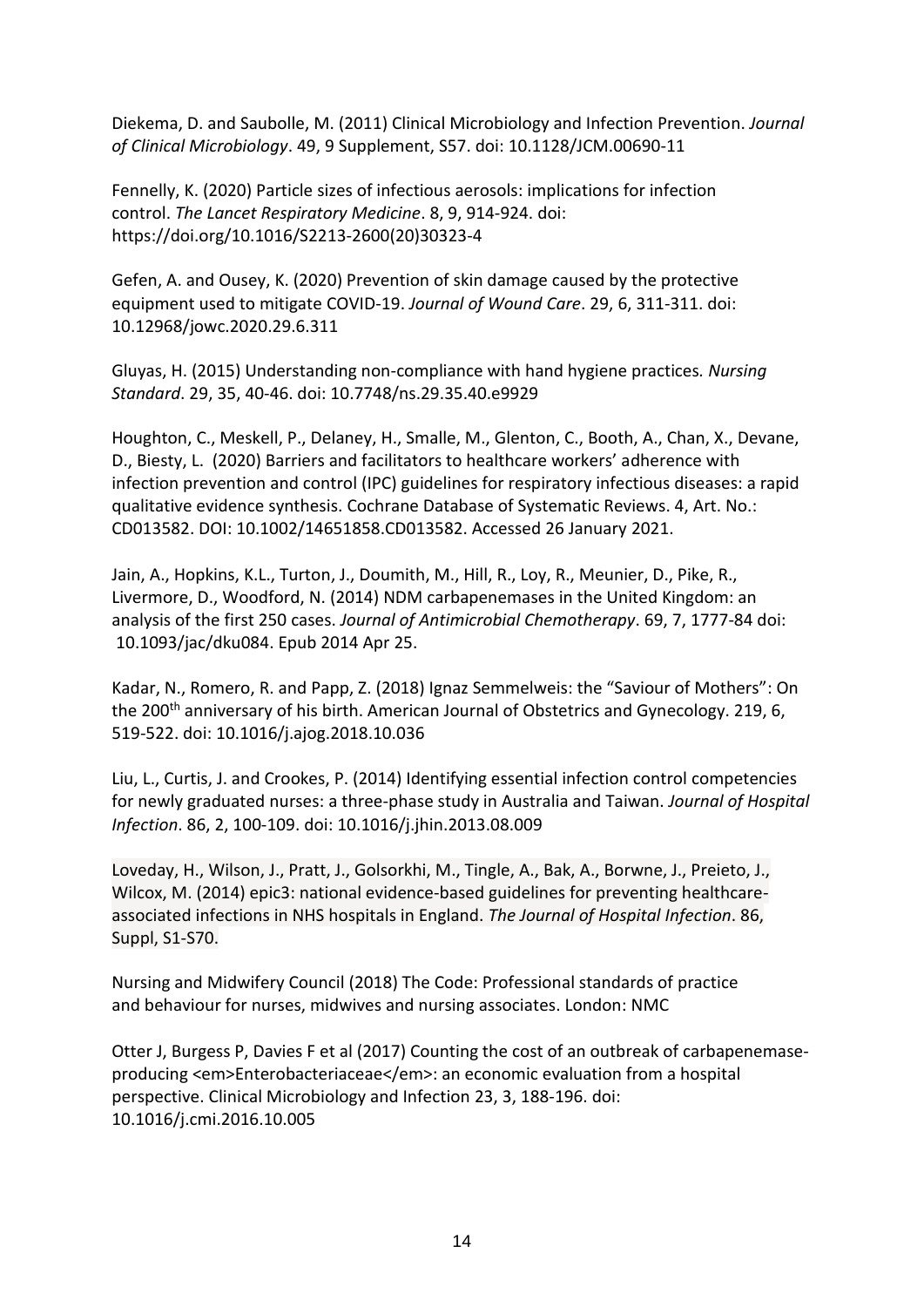Diekema, D. and Saubolle, M. (2011) Clinical Microbiology and Infection Prevention. *Journal of Clinical Microbiology*. 49, 9 Supplement, S57. doi: 10.1128/JCM.00690-11

Fennelly, K. (2020) Particle sizes of infectious aerosols: implications for infection control. *The Lancet Respiratory Medicine*. 8, 9, 914-924. doi: https://doi.org/10.1016/S2213-2600(20)30323-4

Gefen, A. and Ousey, K. (2020) Prevention of skin damage caused by the protective equipment used to mitigate COVID-19. *Journal of Wound Care*. 29, 6, 311-311. doi: 10.12968/jowc.2020.29.6.311

Gluyas, H. (2015) Understanding non-compliance with hand hygiene practices*. Nursing Standard*. 29, 35, 40-46. doi: 10.7748/ns.29.35.40.e9929

Houghton, C., Meskell, P., Delaney, H., Smalle, M., Glenton, C., Booth, A., Chan, X., Devane, D., Biesty, L. (2020) Barriers and facilitators to healthcare workers' adherence with infection prevention and control (IPC) guidelines for respiratory infectious diseases: a rapid qualitative evidence synthesis. Cochrane Database of Systematic Reviews. 4, Art. No.: CD013582. DOI: 10.1002/14651858.CD013582. Accessed 26 January 2021.

Jain, A., Hopkins, K.L., Turton, J., Doumith, M., Hill, R., Loy, R., Meunier, D., Pike, R., Livermore, D., Woodford, N. (2014) NDM carbapenemases in the United Kingdom: an analysis of the first 250 cases. *Journal of Antimicrobial Chemotherapy*. 69, 7, 1777-84 doi: 10.1093/jac/dku084. Epub 2014 Apr 25.

Kadar, N., Romero, R. and Papp, Z. (2018) Ignaz Semmelweis: the "Saviour of Mothers": On the 200<sup>th</sup> anniversary of his birth. American Journal of Obstetrics and Gynecology. 219, 6, 519-522. doi: 10.1016/j.ajog.2018.10.036

Liu, L., Curtis, J. and Crookes, P. (2014) Identifying essential infection control competencies for newly graduated nurses: a three-phase study in Australia and Taiwan. *Journal of Hospital Infection*. 86, 2, 100-109. doi: 10.1016/j.jhin.2013.08.009

Loveday, H., Wilson, J., Pratt, J., Golsorkhi, M., Tingle, A., Bak, A., Borwne, J., Preieto, J., Wilcox, M. (2014) epic3: national evidence-based guidelines for preventing healthcareassociated infections in NHS hospitals in England. *The Journal of Hospital Infection*. 86, Suppl, S1-S70.

Nursing and Midwifery Council (2018) The Code: Professional standards of practice and behaviour for nurses, midwives and nursing associates. London: NMC

Otter J, Burgess P, Davies F et al (2017) Counting the cost of an outbreak of carbapenemaseproducing <em>Enterobacteriaceae</em>: an economic evaluation from a hospital perspective. Clinical Microbiology and Infection 23, 3, 188-196. doi: 10.1016/j.cmi.2016.10.005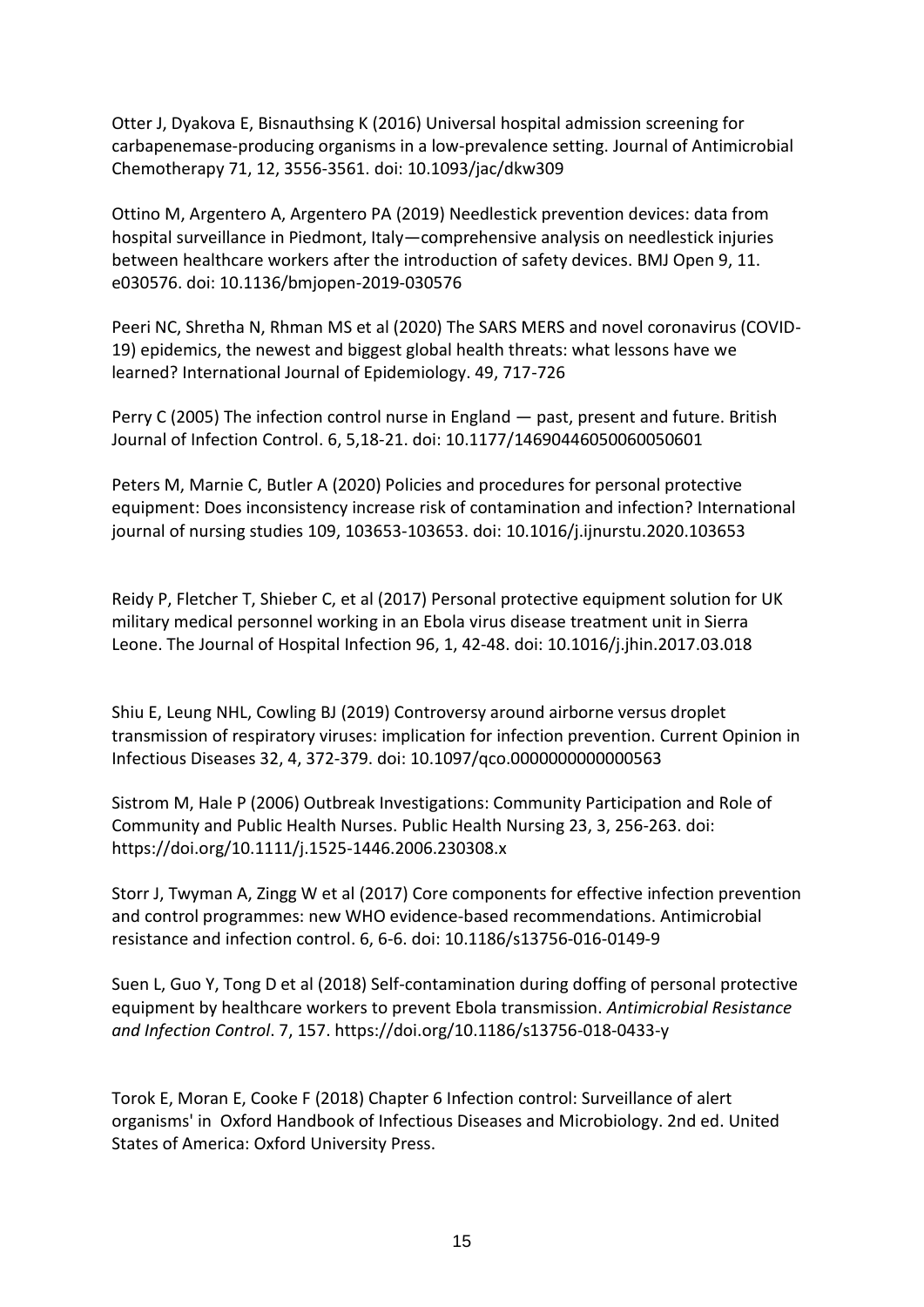Otter J, Dyakova E, Bisnauthsing K (2016) Universal hospital admission screening for carbapenemase-producing organisms in a low-prevalence setting. Journal of Antimicrobial Chemotherapy 71, 12, 3556-3561. doi: 10.1093/jac/dkw309

Ottino M, Argentero A, Argentero PA (2019) Needlestick prevention devices: data from hospital surveillance in Piedmont, Italy—comprehensive analysis on needlestick injuries between healthcare workers after the introduction of safety devices. BMJ Open 9, 11. e030576. doi: 10.1136/bmjopen-2019-030576

Peeri NC, Shretha N, Rhman MS et al (2020) The SARS MERS and novel coronavirus (COVID-19) epidemics, the newest and biggest global health threats: what lessons have we learned? International Journal of Epidemiology. 49, 717-726

Perry C (2005) The infection control nurse in England — past, present and future. British Journal of Infection Control. 6, 5,18-21. doi: 10.1177/14690446050060050601

Peters M, Marnie C, Butler A (2020) Policies and procedures for personal protective equipment: Does inconsistency increase risk of contamination and infection? International journal of nursing studies 109, 103653-103653. doi: 10.1016/j.ijnurstu.2020.103653

Reidy P, Fletcher T, Shieber C, et al (2017) Personal protective equipment solution for UK military medical personnel working in an Ebola virus disease treatment unit in Sierra Leone. The Journal of Hospital Infection 96, 1, 42-48. doi: 10.1016/j.jhin.2017.03.018

Shiu E, Leung NHL, Cowling BJ (2019) Controversy around airborne versus droplet transmission of respiratory viruses: implication for infection prevention. Current Opinion in Infectious Diseases 32, 4, 372-379. doi: 10.1097/qco.0000000000000563

Sistrom M, Hale P (2006) Outbreak Investigations: Community Participation and Role of Community and Public Health Nurses. Public Health Nursing 23, 3, 256-263. doi: https://doi.org/10.1111/j.1525-1446.2006.230308.x

Storr J, Twyman A, Zingg W et al (2017) Core components for effective infection prevention and control programmes: new WHO evidence-based recommendations. Antimicrobial resistance and infection control. 6, 6-6. doi: 10.1186/s13756-016-0149-9

Suen L, Guo Y, Tong D et al (2018) Self-contamination during doffing of personal protective equipment by healthcare workers to prevent Ebola transmission. *Antimicrobial Resistance and Infection Control*. 7, 157. https://doi.org/10.1186/s13756-018-0433-y

Torok E, Moran E, Cooke F (2018) Chapter 6 Infection control: Surveillance of alert organisms' in Oxford Handbook of Infectious Diseases and Microbiology. 2nd ed. United States of America: Oxford University Press.